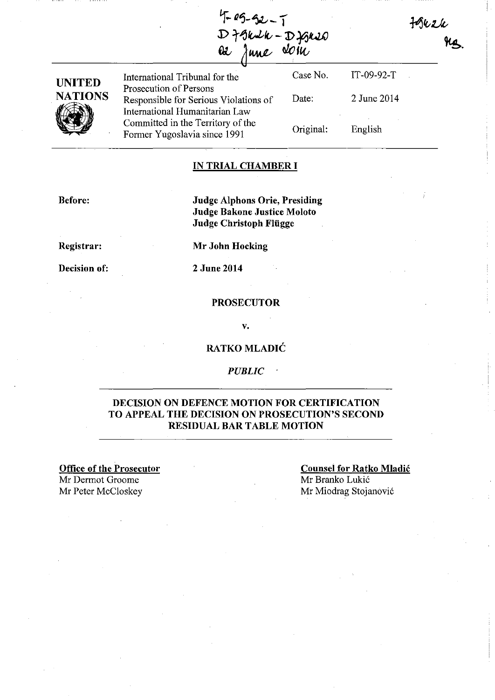$H$ 

IT-09-92-T

2 June 2014

English

| $4 - 25 - 52 - 7$ |  |
|-------------------|--|
| D truck-Dignes    |  |
| as June soin      |  |

UNITED **NATIONS** (I)

International Tribunal for the Prosecution of Persons Responsible for Serious Violations of International Humanitarian Law Committed in the Territory of the Former Yugoslavia since 1991 Case No. Date: Original:

#### IN TRIAL CHAMBER I

Before:

Judge Alphons Orie, Presiding Judge Bakone Justice Moloto Judge Christoph Fliigge

Registrar:

Mr John Hocking

Decision of:

2 June 2014

#### **PROSECUTOR**

v.

### RATKO MLADIC

#### *PUBLIC*

### DECISION ON DEFENCE MOTION FOR CERTIFICATION TO APPEAL THE DECISION ON PROSECUTION'S SECOND RESIDUAL BAR TABLE MOTION

Office of the Prosecutor Mr Dermot Groome Mr Peter McCloskey Mr Miodrag Stojanović

Counsel for Ratko Mladic Mr Branko Lukic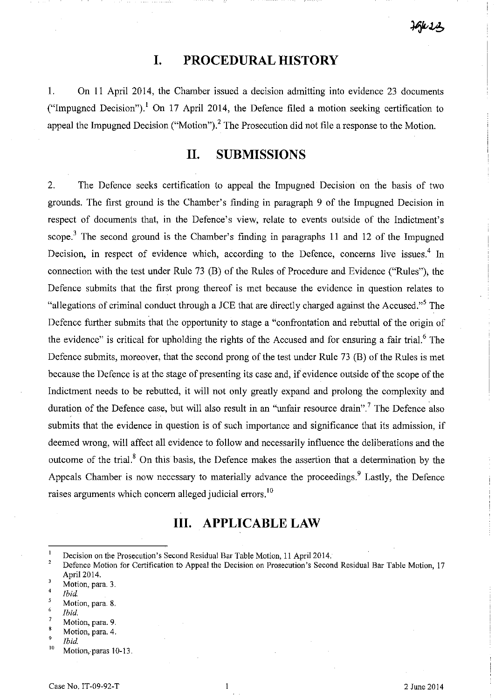### $1661$

## **I. PROCEDURAL HISTORY**

1. On II April 2014, the Chamber issued a decision admitting into evidence 23 documents ("Impugned Decision"),<sup>1</sup> On 17 April 2014, the Defence filed a motion seeking certification to appeal the Impugned Decision ("Motion").<sup>2</sup> The Prosecution did not file a response to the Motion.

## **II. SUBMISSIONS**

2. The Defence seeks certification to appeal the Impugned Decision on the basis of two grounds. The first ground is the Chamber's finding in paragraph 9 of the Impugned Decision in respect of documents that, in the Defence's view, relate to events outside of the Indictment's scope.<sup>3</sup> The second ground is the Chamber's finding in paragraphs 11 and 12 of the Impugned Decision, in respect of evidence which, according to the Defence, concerns live issues.<sup>4</sup> In connection with the test under Rule 73 (B) of the Rules of Procedure and Evidence ("Rules"), the Defence submits that the first prong thereof is met because the evidence in question relates to "allegations of criminal conduct through a *lCE* that are directly charged against the Accused."s The Defence further submits that the opportunity to stage a "confrontation and rebuttal of the origin of the evidence" is critical for upholding the rights of the Accused and for ensuring a fair trial.<sup>6</sup> The Defence submits, moreover, that the second prong of the test under Rule 73 (B) of the Rules is met because the Defence is at the stage of presenting its case and, if evidence outside of the scope of the Indictment needs to be rebutted, it will not only greatly expand and prolong the complexity and duration of the Defence case, but will also result in an "unfair resource drain".<sup>7</sup> The Defence also submits that the evidence in question is of such importance and significance that its admission, if deemed wrong, will affect all evidence to follow and necessarily influence the deliberations and the outcome of the trial.<sup>8</sup> On this basis, the Defence makes the assertion that a determination by the Appeals Chamber is now necessary to materially advance the proceedings.<sup>9</sup> Lastly, the Defence raises arguments which concern alleged judicial errors. 10

# **III. APPLICABLE LAW**

- 5 *Ibid.*
- Motion, para. 8.

- 7 Motion, para. 9.
- 8 Motion, para. 4.
- 9 *Ibid.*
- $10$  Motion, paras 10-13.

 $\mathbf{1}$ Decision on the Prosecution's Second Residual Bar Table Motion, 11 April 2014.

<sup>2</sup>  Defence Motion for Certification to Appeal the Decision on Prosecution's Second Residual Bar Table Motion, 17 Apri12014.  $\overline{3}$ 

<sup>4</sup>  Motion, para. 3.

<sup>6</sup>  *Ibid.*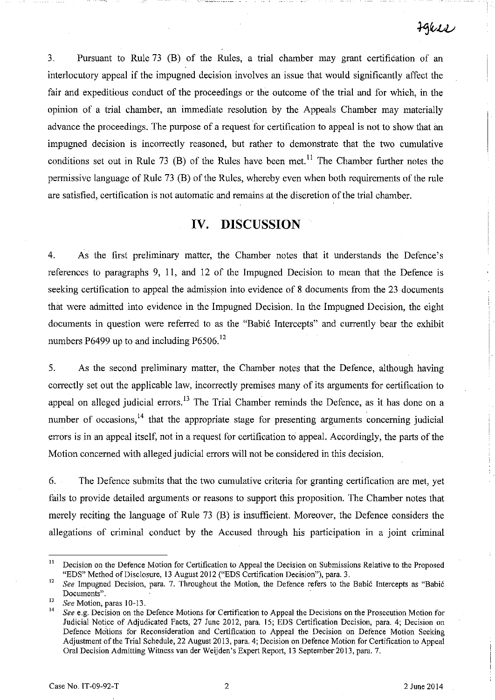3. Pursuant to Rule 73 (B) of the Rules, a trial chamber may grant certification of an interlocutory appeal if the impugned decision involves an issue that would significantly affect the fair and expeditious conduct of the proceedings or the outcome of the trial and for which, in the opinion of a trial chamber, an immediate resolution by the Appeals Chamber may materially advance the proceedings. The purpose of a request for certification to appeal is not to show that an impugned decision is incorrectly reasoned, but rather to demonstrate that the two cumulative conditions set out in Rule 73 (B) of the Rules have been met.<sup>11</sup> The Chamber further notes the permissive language of Rule 73 (B) of the Rules, whereby even when both requirements of the rule are satisfied, certification is not automatic and remains at the discretion of the trial chamber.

### **IV. DISCUSSION**

4. As the first preliminary matter, the Chamber notes that it understands the Defence's references to paragraphs 9, **11,** and 12 of the Impugned Decision to mean that the Defence is seeking certification to appeal the admission into evidence of 8 documents from the 23 documents that were admitted into evidence in the Impugned Decision. In the Impugned Decision, the eight documents in question were referred to as the "Babic Intercepts" and currently bear the exhibit numbers P6499 up to and including P6506.<sup>12</sup>

5. As the second preliminary matter, the Chamber notes that the Defence, although having correctly set out the applicable law, incorrectly premises many of its arguments for certification to appeal on alleged judicial errors.<sup>13</sup> The Trial Chamber reminds the Defence, as it has done on a number of occasions,<sup>14</sup> that the appropriate stage for presenting arguments concerning judicial errors is in an appeal itself, not in a request for certification to appeal. Accordingly, the parts of the Motion concerned with alleged judicial errors will not be considered in this decision.

6. The Defence submits that the two cumulative criteria for granting certification are met, yet fails to provide detailed arguments or reasons to support this proposition. The Chamber notes that merely reciting the language of Rule 73 (B) is insufficient. Moreover, the Defence considers the allegations of criminal conduct by the Accused through his participation in a joint criminal

<sup>&</sup>lt;sup>11</sup> Decision on the Defence Motion for Certification to Appeal the Decision on Submissions Relative to the Proposed "EDS" Method of Disclosure, 13 August 2012 ("EDS Certification Decision"), para. 3.

<sup>&</sup>lt;sup>12</sup> See Impugned Decision, para. 7. Throughout the Motion, the Defence refers to the Babić Intercepts as "Babić" **Documents" .** 

<sup>13</sup>*See* Motion, paras 10-13.

See e.g. Decision on the Defence Motions for Certification to Appeal the Decisions on the Prosecution Motion for Judicial Notice of Adjudicated Facts, 27 June 2012, para. IS; EDS Certification Decision, para. 4; Decision on Defence Motions for Reconsideration and Certification to Appeal the Decision on Defence Motion Seeking Adjustment of the Trial Schedule, 22 August 2013, para. 4; Decision on Defence Motion for Certification to Appeal Oral Decision Admitting Witness van der Weijden's Expert Report, 13 September2013, para. 7.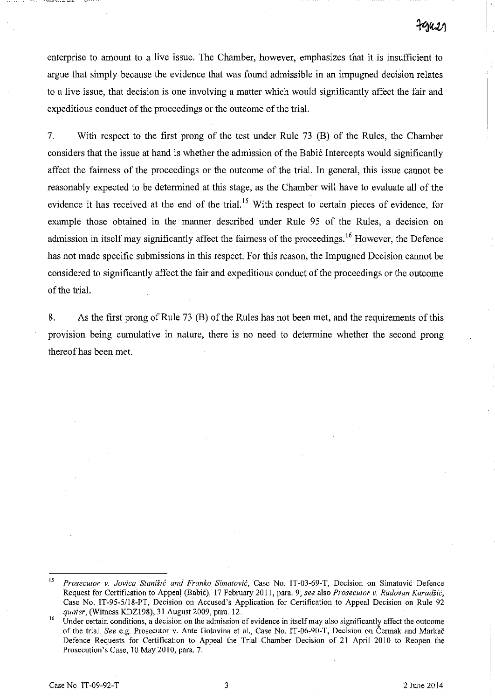enterprise to amount to a live issue. The Chamber, however, emphasizes that it is insufficient to argue that simply because the evidence that was found admissible in an impugned decision relates to a live issue, that decision is one involving a matter which would significantly affect the fair and expeditious conduct of the proceedings or the outcome of the trial.

7. With respect to the first prong of the test under Rule 73 (B) of the Rules, the Chamber considers that the issue at hand is whether the admission of the Babić Intercepts would significantly affect the fairness of the proceedings or the outcome of the trial. In general, this issue cannot be reasonably expected to be determined at this stage, as the Chamber will have to evaluate all of the evidence it has received at the end of the trial.<sup>15</sup> With respect to certain pieces of evidence, for example those obtained in the manner described under Rule 95 of the Rules, a decision on admission in itself may significantly affect the fairness of the proceedings.<sup>16</sup> However, the Defence has not made specific submissions in this respect. For this reason, the Impugned Decision cannot be considered to significantly affect the fair and expeditious conduct of the proceedings or the outcome of the trial.

8. As the first prong of Rule 73 (B) of the Rules has not been met, and the requirements of this provision being cumulative in nature, there is no need to determine whether the second prong thereof has been met.

**<sup>15</sup>***Prosecutor v. Jovica Stanisic and Franko S;mafovi6,* **Case No. IT -03-69-T, Decision on Simatovic Defence**  Request for Certification to Appeal (Babic), 17 February 2011, para. 9; *see* also *Prosecutor v. Radovan Karadzic,*  Case No. IT-95-5118-PT, Decision on Accused's Application for Certification to Appeal Decision on Rule 92 *quater,* (Witness KDZI98), 31 August 2009, para. 12.

**<sup>16</sup> Under certain conditions, a decision on the admission of evidence in itself may also significantly affect the outcome**  of the trial. *See* e.g. Prosecutor v. Ante Gotovina et aI., Case No. IT-06-90-T, Decision on Cermak and Markae Defence Requests for Certification to Appeal the Trial Chamber Decision of 21 April 2010 to Reopen the Prosecution's Case, 10 May 2010, para. 7.